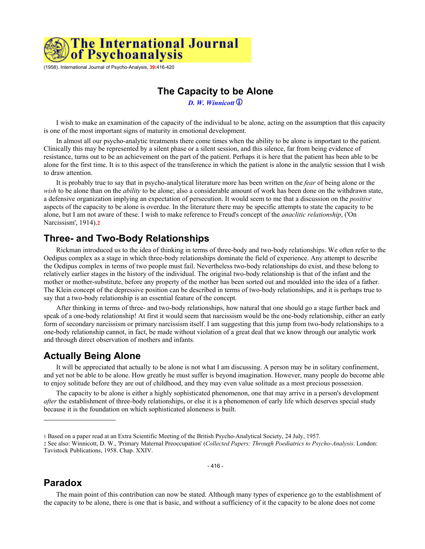

(1958). International Journal of Psycho-Analysis, **39:**416-420

### **The Capacity to be Alone**

*D. W. Winnicott*

I wish to make an examination of the capacity of the individual to be alone, acting on the assumption that this capacity is one of the most important signs of maturity in emotional development.

In almost all our psycho-analytic treatments there come times when the ability to be alone is important to the patient. Clinically this may be represented by a silent phase or a silent session, and this silence, far from being evidence of resistance, turns out to be an achievement on the part of the patient. Perhaps it is here that the patient has been able to be alone for the first time. It is to this aspect of the transference in which the patient is alone in the analytic session that I wish to draw attention.

It is probably true to say that in psycho-analytical literature more has been written on the *fear* of being alone or the *wish* to be alone than on the *ability* to be alone; also a considerable amount of work has been done on the withdrawn state, a defensive organization implying an expectation of persecution. It would seem to me that a discussion on the *positive* aspects of the capacity to be alone is overdue. In the literature there may be specific attempts to state the capacity to be alone, but I am not aware of these. I wish to make reference to Freud's concept of the *anaclitic relationship*, ('On Narcissism', 1914).**2**

## **Three- and Two-Body Relationships**

Rickman introduced us to the idea of thinking in terms of three-body and two-body relationships. We often refer to the Oedipus complex as a stage in which three-body relationships dominate the field of experience. Any attempt to describe the Oedipus complex in terms of two people must fail. Nevertheless two-body relationships do exist, and these belong to relatively earlier stages in the history of the individual. The original two-body relationship is that of the infant and the mother or mother-substitute, before any property of the mother has been sorted out and moulded into the idea of a father. The Klein concept of the depressive position can be described in terms of two-body relationships, and it is perhaps true to say that a two-body relationship is an essential feature of the concept.

After thinking in terms of three- and two-body relationships, how natural that one should go a stage further back and speak of a one-body relationship! At first it would seem that narcissism would be the one-body relationship, either an early form of secondary narcissism or primary narcissism itself. I am suggesting that this jump from two-body relationships to a one-body relationship cannot, in fact, be made without violation of a great deal that we know through our analytic work and through direct observation of mothers and infants.

## **Actually Being Alone**

—————————————

It will be appreciated that actually to be alone is not what I am discussing. A person may be in solitary confinement, and yet not be able to be alone. How greatly he must suffer is beyond imagination. However, many people do become able to enjoy solitude before they are out of childhood, and they may even value solitude as a most precious possession.

The capacity to be alone is either a highly sophisticated phenomenon, one that may arrive in a person's development *after* the establishment of three-body relationships, or else it is a phenomenon of early life which deserves special study because it is the foundation on which sophisticated aloneness is built.

- 416 -

# **Paradox**

The main point of this contribution can now be stated. Although many types of experience go to the establishment of the capacity to be alone, there is one that is basic, and without a sufficiency of it the capacity to be alone does not come

<sup>1</sup> Based on a paper read at an Extra Scientific Meeting of the British Psycho-Analytical Society, 24 July, 1957.

<sup>2</sup> See also: Winnicott, D. W., 'Primary Maternal Preoccupation' (*Collected Papers: Through Poediatrics to Psycho-Analysis*. London: Tavistock Publications, 1958. Chap. XXIV.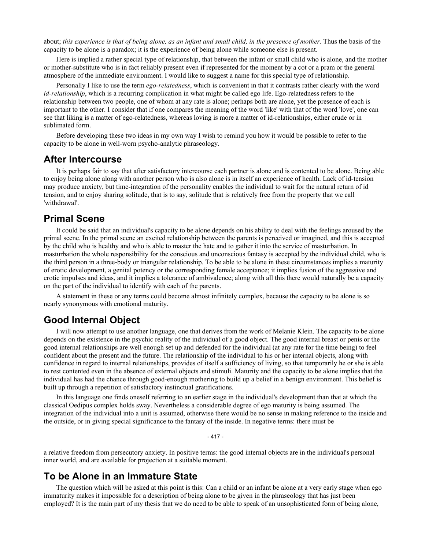about; *this experience is that of being alone, as an infant and small child, in the presence of mother.* Thus the basis of the capacity to be alone is a paradox; it is the experience of being alone while someone else is present.

Here is implied a rather special type of relationship, that between the infant or small child who is alone, and the mother or mother-substitute who is in fact reliably present even if represented for the moment by a cot or a pram or the general atmosphere of the immediate environment. I would like to suggest a name for this special type of relationship.

Personally I like to use the term *ego-relatedness*, which is convenient in that it contrasts rather clearly with the word *id-relationship*, which is a recurring complication in what might be called ego life. Ego-relatedness refers to the relationship between two people, one of whom at any rate is alone; perhaps both are alone, yet the presence of each is important to the other. I consider that if one compares the meaning of the word 'like' with that of the word 'love', one can see that liking is a matter of ego-relatedness, whereas loving is more a matter of id-relationships, either crude or in sublimated form.

Before developing these two ideas in my own way I wish to remind you how it would be possible to refer to the capacity to be alone in well-worn psycho-analytic phraseology.

#### **After Intercourse**

It is perhaps fair to say that after satisfactory intercourse each partner is alone and is contented to be alone. Being able to enjoy being alone along with another person who is also alone is in itself an experience of health. Lack of id-tension may produce anxiety, but time-integration of the personality enables the individual to wait for the natural return of id tension, and to enjoy sharing solitude, that is to say, solitude that is relatively free from the property that we call 'withdrawal'.

#### **Primal Scene**

It could be said that an individual's capacity to be alone depends on his ability to deal with the feelings aroused by the primal scene. In the primal scene an excited relationship between the parents is perceived or imagined, and this is accepted by the child who is healthy and who is able to master the hate and to gather it into the service of masturbation. In masturbation the whole responsibility for the conscious and unconscious fantasy is accepted by the individual child, who is the third person in a three-body or triangular relationship. To be able to be alone in these circumstances implies a maturity of erotic development, a genital potency or the corresponding female acceptance; it implies fusion of the aggressive and erotic impulses and ideas, and it implies a tolerance of ambivalence; along with all this there would naturally be a capacity on the part of the individual to identify with each of the parents.

A statement in these or any terms could become almost infinitely complex, because the capacity to be alone is so nearly synonymous with emotional maturity.

### **Good Internal Object**

I will now attempt to use another language, one that derives from the work of Melanie Klein. The capacity to be alone depends on the existence in the psychic reality of the individual of a good object. The good internal breast or penis or the good internal relationships are well enough set up and defended for the individual (at any rate for the time being) to feel confident about the present and the future. The relationship of the individual to his or her internal objects, along with confidence in regard to internal relationships, provides of itself a sufficiency of living, so that temporarily he or she is able to rest contented even in the absence of external objects and stimuli. Maturity and the capacity to be alone implies that the individual has had the chance through good-enough mothering to build up a belief in a benign environment. This belief is built up through a repetition of satisfactory instinctual gratifications.

In this language one finds oneself referring to an earlier stage in the individual's development than that at which the classical Oedipus complex holds sway. Nevertheless a considerable degree of ego maturity is being assumed. The integration of the individual into a unit is assumed, otherwise there would be no sense in making reference to the inside and the outside, or in giving special significance to the fantasy of the inside. In negative terms: there must be

- 417 -

a relative freedom from persecutory anxiety. In positive terms: the good internal objects are in the individual's personal inner world, and are available for projection at a suitable moment.

## **To be Alone in an Immature State**

The question which will be asked at this point is this: Can a child or an infant be alone at a very early stage when ego immaturity makes it impossible for a description of being alone to be given in the phraseology that has just been employed? It is the main part of my thesis that we do need to be able to speak of an unsophisticated form of being alone,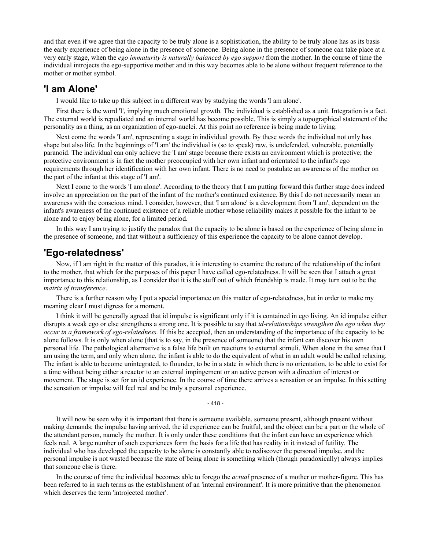and that even if we agree that the capacity to be truly alone is a sophistication, the ability to be truly alone has as its basis the early experience of being alone in the presence of someone. Being alone in the presence of someone can take place at a very early stage, when the *ego immaturity is naturally balanced by ego support* from the mother. In the course of time the individual introjects the ego-supportive mother and in this way becomes able to be alone without frequent reference to the mother or mother symbol.

#### **'I am Alone'**

I would like to take up this subject in a different way by studying the words 'I am alone'.

First there is the word 'I', implying much emotional growth. The individual is established as a unit. Integration is a fact. The external world is repudiated and an internal world has become possible. This is simply a topographical statement of the personality as a thing, as an organization of ego-nuclei. At this point no reference is being made to living.

Next come the words 'I am', representing a stage in individual growth. By these words the individual not only has shape but also life. In the beginnings of 'I am' the individual is (so to speak) raw, is undefended, vulnerable, potentially paranoid. The individual can only achieve the 'I am' stage because there exists an environment which is protective; the protective environment is in fact the mother preoccupied with her own infant and orientated to the infant's ego requirements through her identification with her own infant. There is no need to postulate an awareness of the mother on the part of the infant at this stage of 'I am'.

Next I come to the words 'I am alone'. According to the theory that I am putting forward this further stage does indeed involve an appreciation on the part of the infant of the mother's continued existence. By this I do not necessarily mean an awareness with the conscious mind. I consider, however, that 'I am alone' is a development from 'I am', dependent on the infant's awareness of the continued existence of a reliable mother whose reliability makes it possible for the infant to be alone and to enjoy being alone, for a limited period.

In this way I am trying to justify the paradox that the capacity to be alone is based on the experience of being alone in the presence of someone, and that without a sufficiency of this experience the capacity to be alone cannot develop.

### **'Ego-relatedness'**

Now, if I am right in the matter of this paradox, it is interesting to examine the nature of the relationship of the infant to the mother, that which for the purposes of this paper I have called ego-relatedness. It will be seen that I attach a great importance to this relationship, as I consider that it is the stuff out of which friendship is made. It may turn out to be the *matrix of transference*.

There is a further reason why I put a special importance on this matter of ego-relatedness, but in order to make my meaning clear I must digress for a moment.

I think it will be generally agreed that id impulse is significant only if it is contained in ego living. An id impulse either disrupts a weak ego or else strengthens a strong one. It is possible to say that *id-relationships strengthen the ego when they occur in a framework of ego-relatedness.* If this be accepted, then an understanding of the importance of the capacity to be alone follows. It is only when alone (that is to say, in the presence of someone) that the infant can discover his own personal life. The pathological alternative is a false life built on reactions to external stimuli. When alone in the sense that I am using the term, and only when alone, the infant is able to do the equivalent of what in an adult would be called relaxing. The infant is able to become unintegrated, to flounder, to be in a state in which there is no orientation, to be able to exist for a time without being either a reactor to an external impingement or an active person with a direction of interest or movement. The stage is set for an id experience. In the course of time there arrives a sensation or an impulse. In this setting the sensation or impulse will feel real and be truly a personal experience.

- 418 -

It will now be seen why it is important that there is someone available, someone present, although present without making demands; the impulse having arrived, the id experience can be fruitful, and the object can be a part or the whole of the attendant person, namely the mother. It is only under these conditions that the infant can have an experience which feels real. A large number of such experiences form the basis for a life that has reality in it instead of futility. The individual who has developed the capacity to be alone is constantly able to rediscover the personal impulse, and the personal impulse is not wasted because the state of being alone is something which (though paradoxically) always implies that someone else is there.

In the course of time the individual becomes able to forego the *actual* presence of a mother or mother-figure. This has been referred to in such terms as the establishment of an 'internal environment'. It is more primitive than the phenomenon which deserves the term 'introjected mother'.